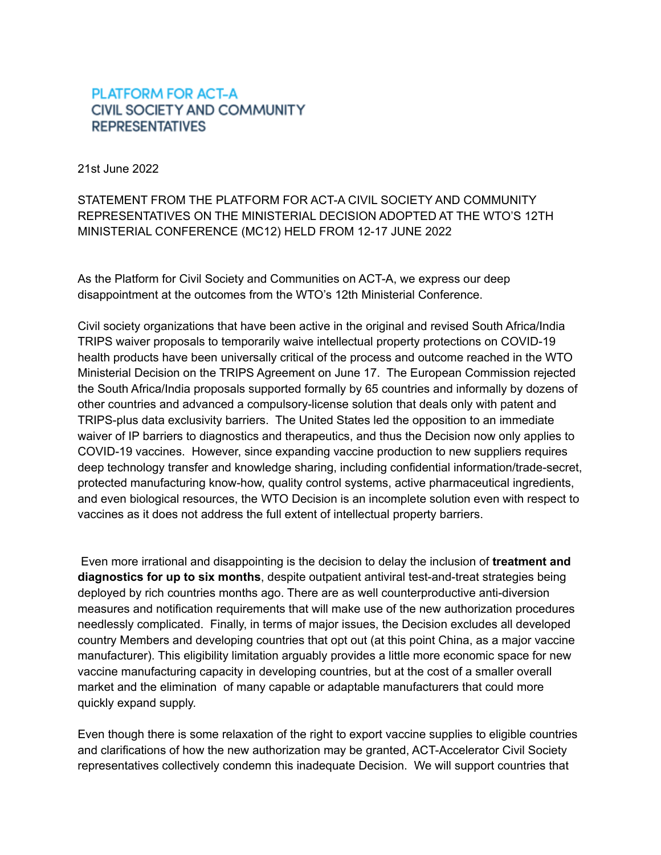## **PLATFORM FOR ACT-A CIVIL SOCIETY AND COMMUNITY REPRESENTATIVES**

21st June 2022

STATEMENT FROM THE PLATFORM FOR ACT-A CIVIL SOCIETY AND COMMUNITY REPRESENTATIVES ON THE MINISTERIAL DECISION ADOPTED AT THE WTO'S 12TH MINISTERIAL CONFERENCE (MC12) HELD FROM 12-17 JUNE 2022

As the Platform for Civil Society and Communities on ACT-A, we express our deep disappointment at the outcomes from the WTO's 12th Ministerial Conference.

Civil society organizations that have been active in the original and revised South Africa/India TRIPS waiver proposals to temporarily waive intellectual property protections on COVID-19 health products have been universally critical of the process and outcome reached in the WTO Ministerial Decision on the TRIPS Agreement on June 17. The European Commission rejected the South Africa/India proposals supported formally by 65 countries and informally by dozens of other countries and advanced a compulsory-license solution that deals only with patent and TRIPS-plus data exclusivity barriers. The United States led the opposition to an immediate waiver of IP barriers to diagnostics and therapeutics, and thus the Decision now only applies to COVID-19 vaccines. However, since expanding vaccine production to new suppliers requires deep technology transfer and knowledge sharing, including confidential information/trade-secret, protected manufacturing know-how, quality control systems, active pharmaceutical ingredients, and even biological resources, the WTO Decision is an incomplete solution even with respect to vaccines as it does not address the full extent of intellectual property barriers.

Even more irrational and disappointing is the decision to delay the inclusion of **treatment and diagnostics for up to six months**, despite outpatient antiviral test-and-treat strategies being deployed by rich countries months ago. There are as well counterproductive anti-diversion measures and notification requirements that will make use of the new authorization procedures needlessly complicated. Finally, in terms of major issues, the Decision excludes all developed country Members and developing countries that opt out (at this point China, as a major vaccine manufacturer). This eligibility limitation arguably provides a little more economic space for new vaccine manufacturing capacity in developing countries, but at the cost of a smaller overall market and the elimination of many capable or adaptable manufacturers that could more quickly expand supply.

Even though there is some relaxation of the right to export vaccine supplies to eligible countries and clarifications of how the new authorization may be granted, ACT-Accelerator Civil Society representatives collectively condemn this inadequate Decision. We will support countries that